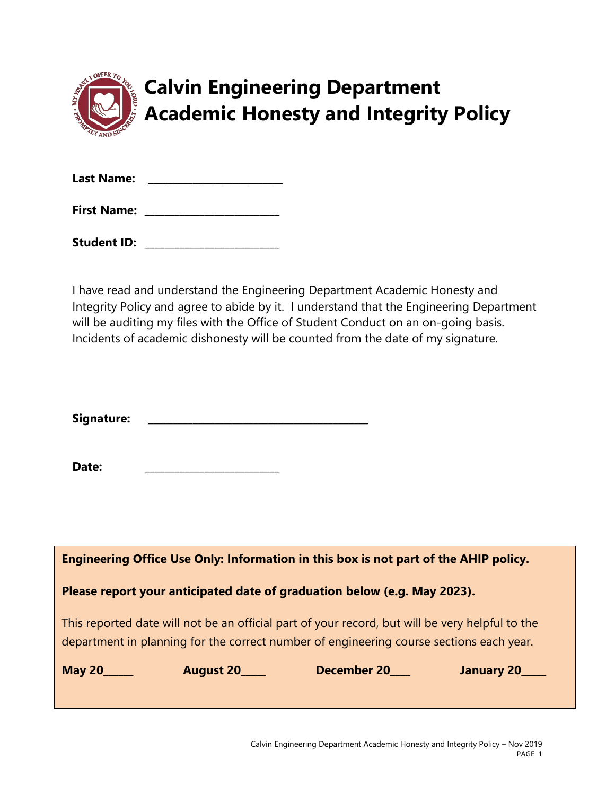

# **Calvin Engineering Department Academic Honesty and Integrity Policy**

| <b>Last Name:</b>  |  |
|--------------------|--|
| <b>First Name:</b> |  |

I have read and understand the Engineering Department Academic Honesty and Integrity Policy and agree to abide by it. I understand that the Engineering Department will be auditing my files with the Office of Student Conduct on an on-going basis. Incidents of academic dishonesty will be counted from the date of my signature.

| Signature: |  |  |  |
|------------|--|--|--|
|            |  |  |  |

Date:

| Engineering Office Use Only: Information in this box is not part of the AHIP policy. |                  |                                                                                                                                                                                            |            |  |  |  |  |
|--------------------------------------------------------------------------------------|------------------|--------------------------------------------------------------------------------------------------------------------------------------------------------------------------------------------|------------|--|--|--|--|
| Please report your anticipated date of graduation below (e.g. May 2023).             |                  |                                                                                                                                                                                            |            |  |  |  |  |
|                                                                                      |                  | This reported date will not be an official part of your record, but will be very helpful to the<br>department in planning for the correct number of engineering course sections each year. |            |  |  |  |  |
| <b>May 20</b>                                                                        | <b>August 20</b> | <b>December 20</b>                                                                                                                                                                         | January 20 |  |  |  |  |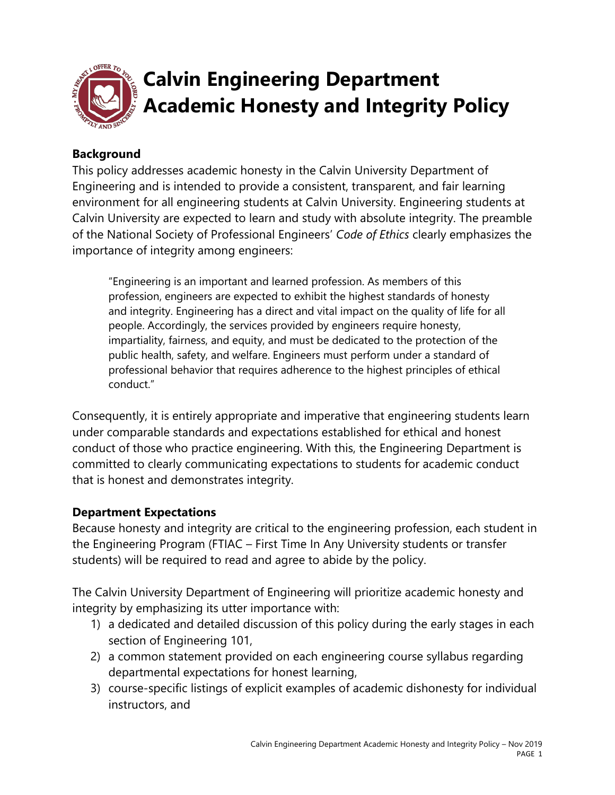

#### **Background**

This policy addresses academic honesty in the Calvin University Department of Engineering and is intended to provide a consistent, transparent, and fair learning environment for all engineering students at Calvin University. Engineering students at Calvin University are expected to learn and study with absolute integrity. The preamble of the National Society of Professional Engineers' *Code of Ethics* clearly emphasizes the importance of integrity among engineers:

"Engineering is an important and learned profession. As members of this profession, engineers are expected to exhibit the highest standards of honesty and integrity. Engineering has a direct and vital impact on the quality of life for all people. Accordingly, the services provided by engineers require honesty, impartiality, fairness, and equity, and must be dedicated to the protection of the public health, safety, and welfare. Engineers must perform under a standard of professional behavior that requires adherence to the highest principles of ethical conduct."

Consequently, it is entirely appropriate and imperative that engineering students learn under comparable standards and expectations established for ethical and honest conduct of those who practice engineering. With this, the Engineering Department is committed to clearly communicating expectations to students for academic conduct that is honest and demonstrates integrity.

#### **Department Expectations**

Because honesty and integrity are critical to the engineering profession, each student in the Engineering Program (FTIAC – First Time In Any University students or transfer students) will be required to read and agree to abide by the policy.

The Calvin University Department of Engineering will prioritize academic honesty and integrity by emphasizing its utter importance with:

- 1) a dedicated and detailed discussion of this policy during the early stages in each section of Engineering 101,
- 2) a common statement provided on each engineering course syllabus regarding departmental expectations for honest learning,
- 3) course-specific listings of explicit examples of academic dishonesty for individual instructors, and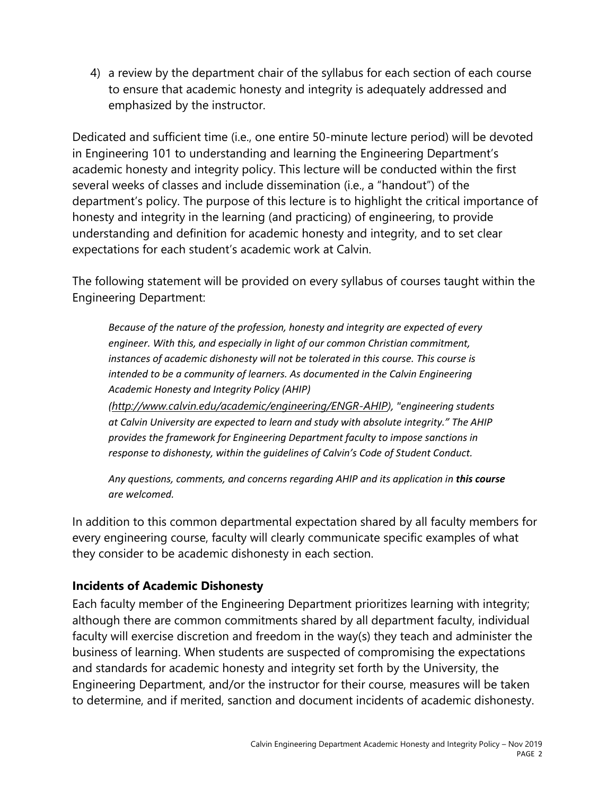4) a review by the department chair of the syllabus for each section of each course to ensure that academic honesty and integrity is adequately addressed and emphasized by the instructor.

Dedicated and sufficient time (i.e., one entire 50-minute lecture period) will be devoted in Engineering 101 to understanding and learning the Engineering Department's academic honesty and integrity policy. This lecture will be conducted within the first several weeks of classes and include dissemination (i.e., a "handout") of the department's policy. The purpose of this lecture is to highlight the critical importance of honesty and integrity in the learning (and practicing) of engineering, to provide understanding and definition for academic honesty and integrity, and to set clear expectations for each student's academic work at Calvin.

The following statement will be provided on every syllabus of courses taught within the Engineering Department:

*Because of the nature of the profession, honesty and integrity are expected of every engineer. With this, and especially in light of our common Christian commitment, instances of academic dishonesty will not be tolerated in this course. This course is intended to be a community of learners. As documented in the Calvin Engineering Academic Honesty and Integrity Policy (AHIP)* 

*([http://www.calvin.edu/academic/engineering/ENGR-AHIP\)](http://www.calvin.edu/academic/engineering/ENGR-AHIP), "engineering students at Calvin University are expected to learn and study with absolute integrity." The AHIP provides the framework for Engineering Department faculty to impose sanctions in response to dishonesty, within the guidelines of Calvin's Code of Student Conduct.* 

Any questions, comments, and concerns regarding AHIP and its application in this course *are welcomed.* 

In addition to this common departmental expectation shared by all faculty members for every engineering course, faculty will clearly communicate specific examples of what they consider to be academic dishonesty in each section.

### **Incidents of Academic Dishonesty**

Each faculty member of the Engineering Department prioritizes learning with integrity; although there are common commitments shared by all department faculty, individual faculty will exercise discretion and freedom in the way(s) they teach and administer the business of learning. When students are suspected of compromising the expectations and standards for academic honesty and integrity set forth by the University, the Engineering Department, and/or the instructor for their course, measures will be taken to determine, and if merited, sanction and document incidents of academic dishonesty.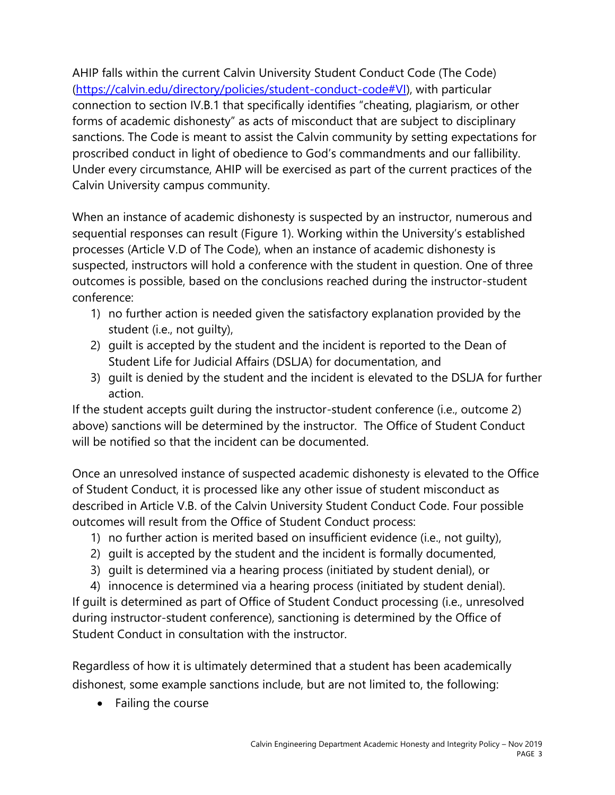AHIP falls within the current Calvin University Student Conduct Code (The Code) [\(https://calvin.edu/directory/policies/student-conduct-code#VI\)](https://calvin.edu/directory/policies/student-conduct-code#VI), with particular connection to section IV.B.1 that specifically identifies "cheating, plagiarism, or other forms of academic dishonesty" as acts of misconduct that are subject to disciplinary sanctions. The Code is meant to assist the Calvin community by setting expectations for proscribed conduct in light of obedience to God's commandments and our fallibility. Under every circumstance, AHIP will be exercised as part of the current practices of the Calvin University campus community.

When an instance of academic dishonesty is suspected by an instructor, numerous and sequential responses can result (Figure 1). Working within the University's established processes (Article V.D of The Code), when an instance of academic dishonesty is suspected, instructors will hold a conference with the student in question. One of three outcomes is possible, based on the conclusions reached during the instructor-student conference:

- 1) no further action is needed given the satisfactory explanation provided by the student (i.e., not guilty),
- 2) guilt is accepted by the student and the incident is reported to the Dean of Student Life for Judicial Affairs (DSLJA) for documentation, and
- 3) guilt is denied by the student and the incident is elevated to the DSLJA for further action.

If the student accepts guilt during the instructor-student conference (i.e., outcome 2) above) sanctions will be determined by the instructor. The Office of Student Conduct will be notified so that the incident can be documented.

Once an unresolved instance of suspected academic dishonesty is elevated to the Office of Student Conduct, it is processed like any other issue of student misconduct as described in Article V.B. of the Calvin University Student Conduct Code. Four possible outcomes will result from the Office of Student Conduct process:

- 1) no further action is merited based on insufficient evidence (i.e., not guilty),
- 2) guilt is accepted by the student and the incident is formally documented,
- 3) guilt is determined via a hearing process (initiated by student denial), or

4) innocence is determined via a hearing process (initiated by student denial). If guilt is determined as part of Office of Student Conduct processing (i.e., unresolved during instructor-student conference), sanctioning is determined by the Office of Student Conduct in consultation with the instructor.

Regardless of how it is ultimately determined that a student has been academically dishonest, some example sanctions include, but are not limited to, the following:

• Failing the course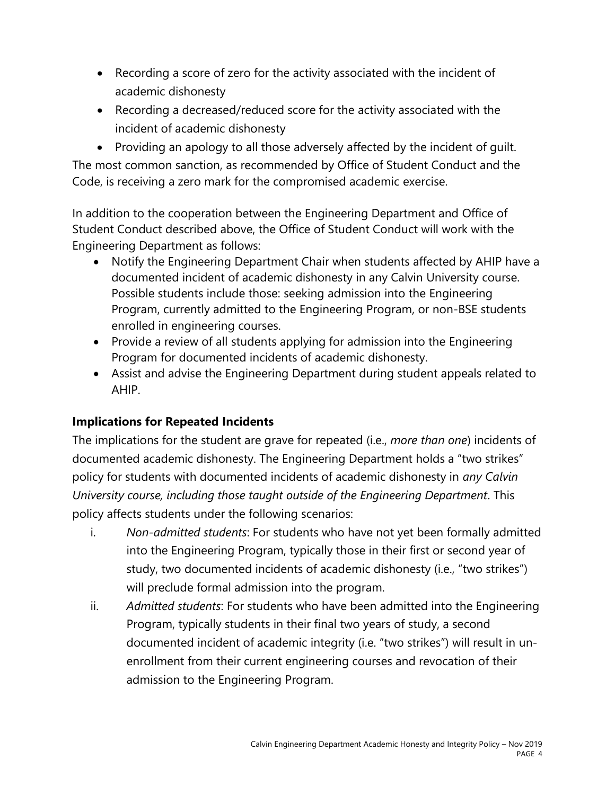- Recording a score of zero for the activity associated with the incident of academic dishonesty
- Recording a decreased/reduced score for the activity associated with the incident of academic dishonesty

• Providing an apology to all those adversely affected by the incident of guilt. The most common sanction, as recommended by Office of Student Conduct and the Code, is receiving a zero mark for the compromised academic exercise.

In addition to the cooperation between the Engineering Department and Office of Student Conduct described above, the Office of Student Conduct will work with the Engineering Department as follows:

- Notify the Engineering Department Chair when students affected by AHIP have a documented incident of academic dishonesty in any Calvin University course. Possible students include those: seeking admission into the Engineering Program, currently admitted to the Engineering Program, or non-BSE students enrolled in engineering courses.
- Provide a review of all students applying for admission into the Engineering Program for documented incidents of academic dishonesty.
- Assist and advise the Engineering Department during student appeals related to AHIP.

## **Implications for Repeated Incidents**

The implications for the student are grave for repeated (i.e., *more than one*) incidents of documented academic dishonesty. The Engineering Department holds a "two strikes" policy for students with documented incidents of academic dishonesty in *any Calvin University course, including those taught outside of the Engineering Department*. This policy affects students under the following scenarios:

- i. *Non-admitted students*: For students who have not yet been formally admitted into the Engineering Program, typically those in their first or second year of study, two documented incidents of academic dishonesty (i.e., "two strikes") will preclude formal admission into the program.
- ii. *Admitted students*: For students who have been admitted into the Engineering Program, typically students in their final two years of study, a second documented incident of academic integrity (i.e. "two strikes") will result in unenrollment from their current engineering courses and revocation of their admission to the Engineering Program.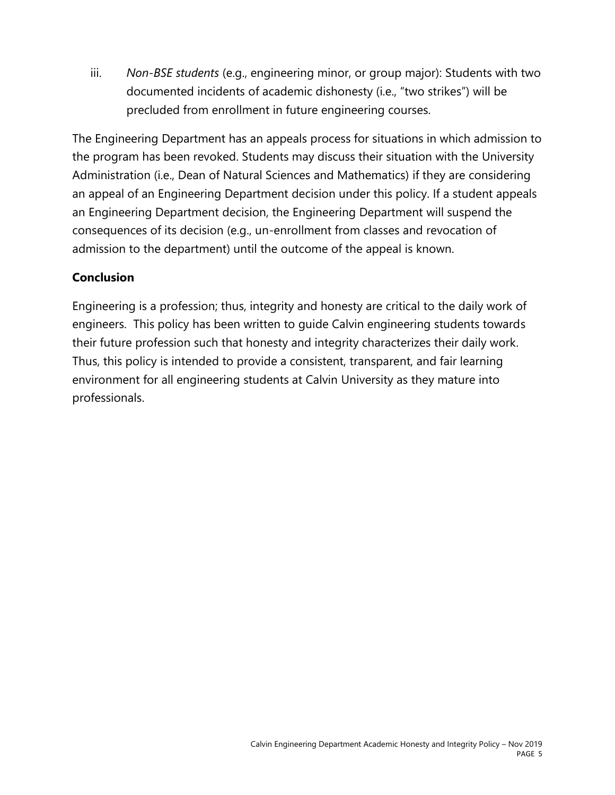iii. *Non-BSE students* (e.g., engineering minor, or group major): Students with two documented incidents of academic dishonesty (i.e., "two strikes") will be precluded from enrollment in future engineering courses.

The Engineering Department has an appeals process for situations in which admission to the program has been revoked. Students may discuss their situation with the University Administration (i.e., Dean of Natural Sciences and Mathematics) if they are considering an appeal of an Engineering Department decision under this policy. If a student appeals an Engineering Department decision, the Engineering Department will suspend the consequences of its decision (e.g., un-enrollment from classes and revocation of admission to the department) until the outcome of the appeal is known.

### **Conclusion**

Engineering is a profession; thus, integrity and honesty are critical to the daily work of engineers. This policy has been written to guide Calvin engineering students towards their future profession such that honesty and integrity characterizes their daily work. Thus, this policy is intended to provide a consistent, transparent, and fair learning environment for all engineering students at Calvin University as they mature into professionals.